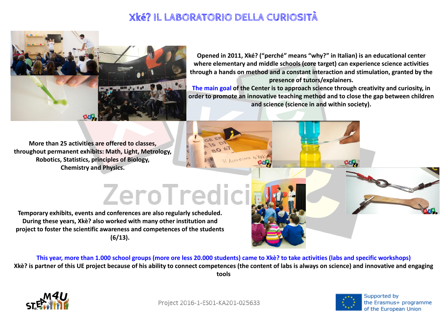**Opened in 2011, Xké? ("perché" means "why?" in Italian) is an educational center where elementary and middle schools (core target) can experience science activities through a hands on method and a constant interaction and stimulation, granted by the presence of tutors/explainers. The main goal of the Center is to approach science through creativity and curiosity, in order to promote an innovative teaching method and to close the gap between children and science (science in and within society).** 

**More than 25 activities are offered to classes, throughout permanent exhibits: Math, Light, Metrology, Robotics, Statistics, principles of Biology, Chemistry and Physics.** 

## ZeroTredici

**Temporary exhibits, events and conferences are also regularly scheduled. During these years, Xkè? also worked with many other institution and project to foster the scientific awareness and competences of the students (6/13).** 

**This year, more than 1.000 school groups (more ore less 20.000 students) came to Xkè? to take activities (labs and specific workshops) Xkè? is partner of this UE project because of his ability to connect competences (the content of labs is always on science) and innovative and engaging tools** 



Project 2016-1-ES01-KA201-025633





Supported by the Erasmus+ programme of the European Union

## **Xké? IL LABORATORIO DELLA CURIOSITÀ**

ASPETTIAMO ALXI

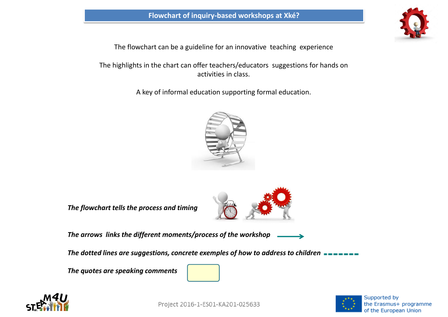The flowchart can be a guideline for an innovative teaching experience

The highlights in the chart can offer teachers/educators suggestions for hands on activities in class.

A key of informal education supporting formal education.



*The flowchart tells the process and timing*



*The arrows links the different moments/process of the workshop* 

*The dotted lines are suggestions, concrete exemples of how to address to children*

*The quotes are speaking comments*





Project 2016-1-ES01-KA201-025633





Supported by the Erasmus+ programme of the European Union